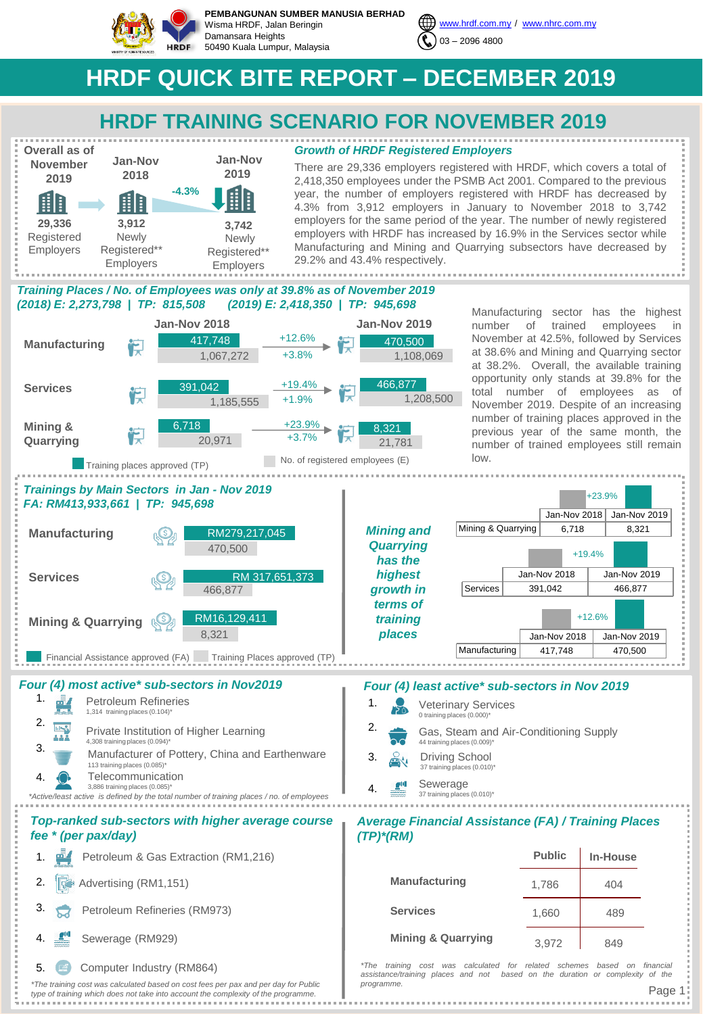

**PEMBANGUNAN SUMBER MANUSIA BERHAD** Wisma HRDF, Jalan Beringin Damansara Heights 50490 Kuala Lumpur, Malaysia



# **HRDF QUICK BITE REPORT – DECEMBER 2019**

# **HRDF TRAINING SCENARIO FOR NOVEMBER 2019**



*Growth of HRDF Registered Employers*

There are 29,336 employers registered with HRDF, which covers a total of 2,418,350 employees under the PSMB Act 2001. Compared to the previous year, the number of employers registered with HRDF has decreased by 4.3% from 3,912 employers in January to November 2018 to 3,742 employers for the same period of the year. The number of newly registered employers with HRDF has increased by 16.9% in the Services sector while Manufacturing and Mining and Quarrying subsectors have decreased by 29.2% and 43.4% respectively.

# *Training Places / No. of Employees was only at 39.8% as of November 2019 (2018) E: 2,273,798 | TP: 815,508 (2019) E: 2,418,350 | TP: 945,698*



Manufacturing sector has the highest number of trained employees in November at 42.5%, followed by Services at 38.6% and Mining and Quarrying sector at 38.2%. Overall, the available training opportunity only stands at 39.8% for the total number of employees as of November 2019. Despite of an increasing number of training places approved in the previous year of the same month, the number of trained employees still remain low.





# 4. Sewerage (RM929)

5. Computer Industry (RM864)

*\*The training cost was calculated based on cost fees per pax and per day for Public type of training which does not take into account the complexity of the programme.* 

| 1. | <b>Veterinary Services</b><br>0 training places (0.000)*              |
|----|-----------------------------------------------------------------------|
| 2. | Gas, Steam and Air-Conditioning Supply<br>44 training places (0.009)* |
| 3. | Driving School<br>37 training places (0.010)*                         |
|    | Sewerage<br>37 training places (0.010)*                               |
|    |                                                                       |

# *Average Financial Assistance (FA) / Training Places (TP)\*(RM)*

|                               | <b>Public</b> | <b>In-House</b> |
|-------------------------------|---------------|-----------------|
| <b>Manufacturing</b>          | 1,786         | 404             |
| <b>Services</b>               | 1,660         | 489             |
| <b>Mining &amp; Quarrying</b> | 3.972         | 849             |

*\*The training cost was calculated for related schemes based on financial assistance/training places and not based on the duration or complexity of the programme.*